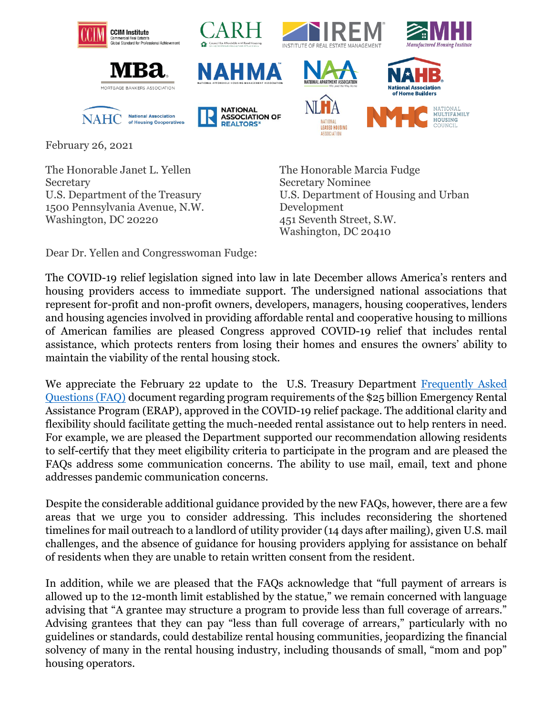





**NATIONAL ASSOCIATION OF** 

**REALTORS** 



**LEASED HOUSING ASSOCIATION** 



NATIONAL<br>**MULTIFAMILY** 

**HOUSING** 

**National Association** of Home Builders



February 26, 2021

The Honorable Janet L. Yellen **Secretary** U.S. Department of the Treasury 1500 Pennsylvania Avenue, N.W. Washington, DC 20220

The Honorable Marcia Fudge Secretary Nominee U.S. Department of Housing and Urban Development 451 Seventh Street, S.W. Washington, DC 20410

Dear Dr. Yellen and Congresswoman Fudge:

The COVID-19 relief legislation signed into law in late December allows America's renters and housing providers access to immediate support. The undersigned national associations that represent for-profit and non-profit owners, developers, managers, housing cooperatives, lenders and housing agencies involved in providing affordable rental and cooperative housing to millions of American families are pleased Congress approved COVID-19 relief that includes rental assistance, which protects renters from losing their homes and ensures the owners' ability to maintain the viability of the rental housing stock.

We appreciate the February 22 update to the U.S. Treasury Department Frequently Asked [Questions \(FAQ\)](https://home.treasury.gov/system/files/136/ERA-Frequently-Asked-Questions_Pub-2-22-21.pdf) document regarding program requirements of the \$25 billion Emergency Rental Assistance Program (ERAP), approved in the COVID-19 relief package. The additional clarity and flexibility should facilitate getting the much-needed rental assistance out to help renters in need. For example, we are pleased the Department supported our recommendation allowing residents to self-certify that they meet eligibility criteria to participate in the program and are pleased the FAQs address some communication concerns. The ability to use mail, email, text and phone addresses pandemic communication concerns.

Despite the considerable additional guidance provided by the new FAQs, however, there are a few areas that we urge you to consider addressing. This includes reconsidering the shortened timelines for mail outreach to a landlord of utility provider (14 days after mailing), given U.S. mail challenges, and the absence of guidance for housing providers applying for assistance on behalf of residents when they are unable to retain written consent from the resident.

In addition, while we are pleased that the FAQs acknowledge that "full payment of arrears is allowed up to the 12-month limit established by the statue," we remain concerned with language advising that "A grantee may structure a program to provide less than full coverage of arrears." Advising grantees that they can pay "less than full coverage of arrears," particularly with no guidelines or standards, could destabilize rental housing communities, jeopardizing the financial solvency of many in the rental housing industry, including thousands of small, "mom and pop" housing operators.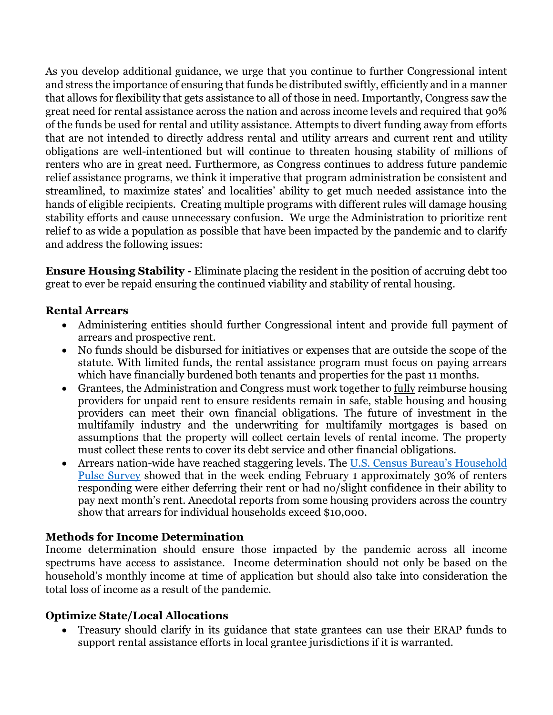As you develop additional guidance, we urge that you continue to further Congressional intent and stress the importance of ensuring that funds be distributed swiftly, efficiently and in a manner that allows for flexibility that gets assistance to all of those in need. Importantly, Congress saw the great need for rental assistance across the nation and across income levels and required that 90% of the funds be used for rental and utility assistance. Attempts to divert funding away from efforts that are not intended to directly address rental and utility arrears and current rent and utility obligations are well-intentioned but will continue to threaten housing stability of millions of renters who are in great need. Furthermore, as Congress continues to address future pandemic relief assistance programs, we think it imperative that program administration be consistent and streamlined, to maximize states' and localities' ability to get much needed assistance into the hands of eligible recipients. Creating multiple programs with different rules will damage housing stability efforts and cause unnecessary confusion. We urge the Administration to prioritize rent relief to as wide a population as possible that have been impacted by the pandemic and to clarify and address the following issues:

**Ensure Housing Stability -** Eliminate placing the resident in the position of accruing debt too great to ever be repaid ensuring the continued viability and stability of rental housing.

## **Rental Arrears**

- Administering entities should further Congressional intent and provide full payment of arrears and prospective rent.
- No funds should be disbursed for initiatives or expenses that are outside the scope of the statute. With limited funds, the rental assistance program must focus on paying arrears which have financially burdened both tenants and properties for the past 11 months.
- Grantees, the Administration and Congress must work together to fully reimburse housing providers for unpaid rent to ensure residents remain in safe, stable housing and housing providers can meet their own financial obligations. The future of investment in the multifamily industry and the underwriting for multifamily mortgages is based on assumptions that the property will collect certain levels of rental income. The property must collect these rents to cover its debt service and other financial obligations.
- Arrears nation-wide have reached staggering levels. The U.S. Census Bureau's Household [Pulse Survey](https://www.census.gov/data/tables/2021/demo/hhp/hhp23.html) showed that in the week ending February 1 approximately 30% of renters responding were either deferring their rent or had no/slight confidence in their ability to pay next month's rent. Anecdotal reports from some housing providers across the country show that arrears for individual households exceed \$10,000.

## **Methods for Income Determination**

Income determination should ensure those impacted by the pandemic across all income spectrums have access to assistance. Income determination should not only be based on the household's monthly income at time of application but should also take into consideration the total loss of income as a result of the pandemic.

## **Optimize State/Local Allocations**

• Treasury should clarify in its guidance that state grantees can use their ERAP funds to support rental assistance efforts in local grantee jurisdictions if it is warranted.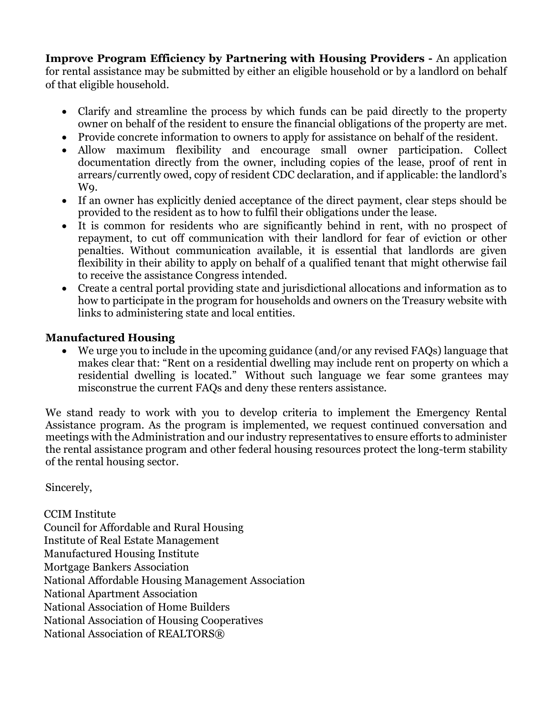**Improve Program Efficiency by Partnering with Housing Providers -** An application for rental assistance may be submitted by either an eligible household or by a landlord on behalf of that eligible household.

- Clarify and streamline the process by which funds can be paid directly to the property owner on behalf of the resident to ensure the financial obligations of the property are met.
- Provide concrete information to owners to apply for assistance on behalf of the resident.
- Allow maximum flexibility and encourage small owner participation. Collect documentation directly from the owner, including copies of the lease, proof of rent in arrears/currently owed, copy of resident CDC declaration, and if applicable: the landlord's W9.
- If an owner has explicitly denied acceptance of the direct payment, clear steps should be provided to the resident as to how to fulfil their obligations under the lease.
- It is common for residents who are significantly behind in rent, with no prospect of repayment, to cut off communication with their landlord for fear of eviction or other penalties. Without communication available, it is essential that landlords are given flexibility in their ability to apply on behalf of a qualified tenant that might otherwise fail to receive the assistance Congress intended.
- Create a central portal providing state and jurisdictional allocations and information as to how to participate in the program for households and owners on the Treasury website with links to administering state and local entities.

## **Manufactured Housing**

• We urge you to include in the upcoming guidance (and/or any revised FAQs) language that makes clear that: "Rent on a residential dwelling may include rent on property on which a residential dwelling is located." Without such language we fear some grantees may misconstrue the current FAQs and deny these renters assistance.

We stand ready to work with you to develop criteria to implement the Emergency Rental Assistance program. As the program is implemented, we request continued conversation and meetings with the Administration and our industry representatives to ensure efforts to administer the rental assistance program and other federal housing resources protect the long-term stability of the rental housing sector.

Sincerely,

CCIM Institute Council for Affordable and Rural Housing Institute of Real Estate Management Manufactured Housing Institute Mortgage Bankers Association National Affordable Housing Management Association National Apartment Association National Association of Home Builders National Association of Housing Cooperatives National Association of REALTORS®